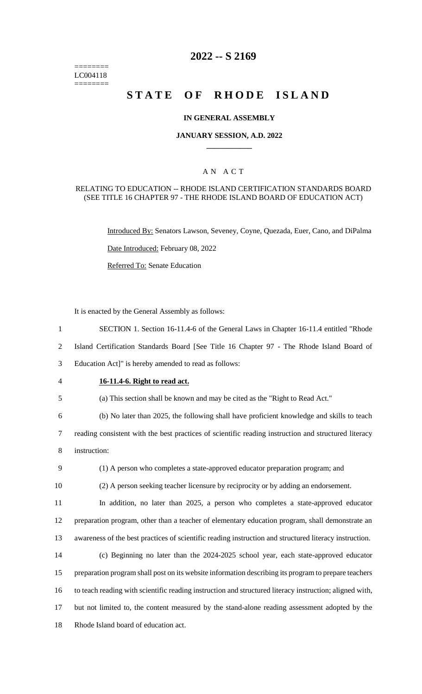======== LC004118  $=$ 

## **2022 -- S 2169**

# **STATE OF RHODE ISLAND**

## **IN GENERAL ASSEMBLY**

#### **JANUARY SESSION, A.D. 2022 \_\_\_\_\_\_\_\_\_\_\_\_**

## A N A C T

#### RELATING TO EDUCATION -- RHODE ISLAND CERTIFICATION STANDARDS BOARD (SEE TITLE 16 CHAPTER 97 - THE RHODE ISLAND BOARD OF EDUCATION ACT)

Introduced By: Senators Lawson, Seveney, Coyne, Quezada, Euer, Cano, and DiPalma Date Introduced: February 08, 2022 Referred To: Senate Education

It is enacted by the General Assembly as follows:

| $\mathbf{1}$   | SECTION 1. Section 16-11.4-6 of the General Laws in Chapter 16-11.4 entitled "Rhode"                    |
|----------------|---------------------------------------------------------------------------------------------------------|
| $\overline{2}$ | Island Certification Standards Board [See Title 16 Chapter 97 - The Rhode Island Board of               |
| 3              | Education Act]" is hereby amended to read as follows:                                                   |
| $\overline{4}$ | 16-11.4-6. Right to read act.                                                                           |
| 5              | (a) This section shall be known and may be cited as the "Right to Read Act."                            |
| 6              | (b) No later than 2025, the following shall have proficient knowledge and skills to teach               |
| $\tau$         | reading consistent with the best practices of scientific reading instruction and structured literacy    |
| 8              | instruction:                                                                                            |
| 9              | (1) A person who completes a state-approved educator preparation program; and                           |
| 10             | (2) A person seeking teacher licensure by reciprocity or by adding an endorsement.                      |
| 11             | In addition, no later than 2025, a person who completes a state-approved educator                       |
| 12             | preparation program, other than a teacher of elementary education program, shall demonstrate an         |
| 13             | awareness of the best practices of scientific reading instruction and structured literacy instruction.  |
| 14             | (c) Beginning no later than the 2024-2025 school year, each state-approved educator                     |
| 15             | preparation program shall post on its website information describing its program to prepare teachers    |
| 16             | to teach reading with scientific reading instruction and structured literacy instruction; aligned with, |
| 17             | but not limited to, the content measured by the stand-alone reading assessment adopted by the           |
| 18             | Rhode Island board of education act.                                                                    |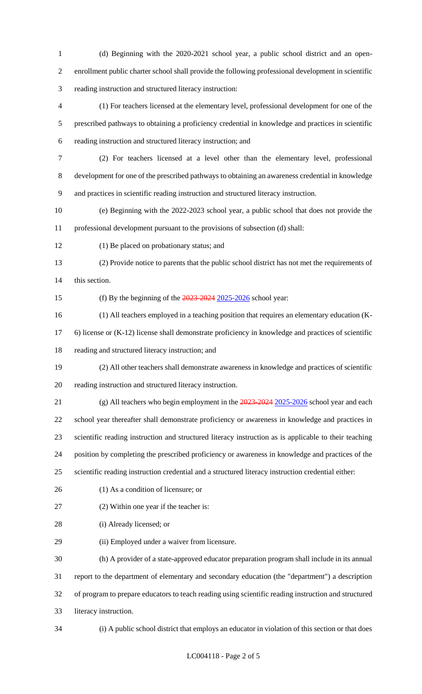(d) Beginning with the 2020-2021 school year, a public school district and an open- enrollment public charter school shall provide the following professional development in scientific reading instruction and structured literacy instruction:

 (1) For teachers licensed at the elementary level, professional development for one of the prescribed pathways to obtaining a proficiency credential in knowledge and practices in scientific reading instruction and structured literacy instruction; and

- (2) For teachers licensed at a level other than the elementary level, professional development for one of the prescribed pathways to obtaining an awareness credential in knowledge and practices in scientific reading instruction and structured literacy instruction.
- (e) Beginning with the 2022-2023 school year, a public school that does not provide the professional development pursuant to the provisions of subsection (d) shall:
- (1) Be placed on probationary status; and

 (2) Provide notice to parents that the public school district has not met the requirements of this section.

15 (f) By the beginning of the  $\frac{2023-2024}{2025-2026}$  school year:

(1) All teachers employed in a teaching position that requires an elementary education (K-

6) license or (K-12) license shall demonstrate proficiency in knowledge and practices of scientific

reading and structured literacy instruction; and

- (2) All other teachers shall demonstrate awareness in knowledge and practices of scientific reading instruction and structured literacy instruction.
- 21 (g) All teachers who begin employment in the  $\frac{2023-2024}{2025-2026}$  school year and each school year thereafter shall demonstrate proficiency or awareness in knowledge and practices in scientific reading instruction and structured literacy instruction as is applicable to their teaching position by completing the prescribed proficiency or awareness in knowledge and practices of the
- scientific reading instruction credential and a structured literacy instruction credential either:
- (1) As a condition of licensure; or
- (2) Within one year if the teacher is:
- (i) Already licensed; or
- (ii) Employed under a waiver from licensure.

 (h) A provider of a state-approved educator preparation program shall include in its annual report to the department of elementary and secondary education (the "department") a description of program to prepare educators to teach reading using scientific reading instruction and structured literacy instruction.

(i) A public school district that employs an educator in violation of this section or that does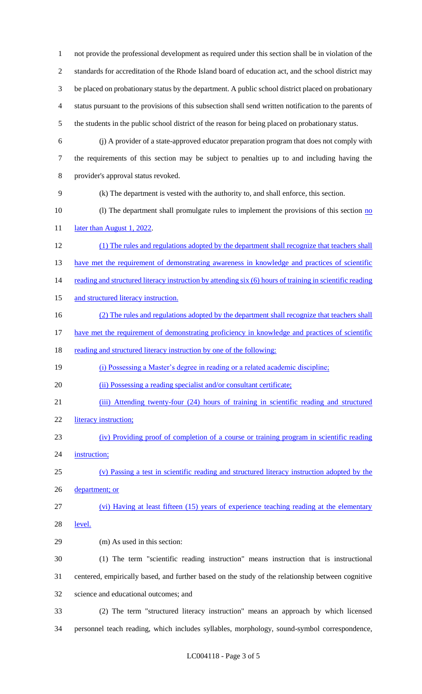not provide the professional development as required under this section shall be in violation of the standards for accreditation of the Rhode Island board of education act, and the school district may be placed on probationary status by the department. A public school district placed on probationary status pursuant to the provisions of this subsection shall send written notification to the parents of the students in the public school district of the reason for being placed on probationary status. (j) A provider of a state-approved educator preparation program that does not comply with the requirements of this section may be subject to penalties up to and including having the provider's approval status revoked. (k) The department is vested with the authority to, and shall enforce, this section. 10 (l) The department shall promulgate rules to implement the provisions of this section no 11 later than August 1, 2022. (1) The rules and regulations adopted by the department shall recognize that teachers shall 13 have met the requirement of demonstrating awareness in knowledge and practices of scientific 14 reading and structured literacy instruction by attending six (6) hours of training in scientific reading 15 and structured literacy instruction. 16 (2) The rules and regulations adopted by the department shall recognize that teachers shall 17 have met the requirement of demonstrating proficiency in knowledge and practices of scientific 18 reading and structured literacy instruction by one of the following: (i) Possessing a Master's degree in reading or a related academic discipline; 20 (ii) Possessing a reading specialist and/or consultant certificate; (iii) Attending twenty-four (24) hours of training in scientific reading and structured literacy instruction; (iv) Providing proof of completion of a course or training program in scientific reading 24 instruction; (v) Passing a test in scientific reading and structured literacy instruction adopted by the 26 department; or (vi) Having at least fifteen (15) years of experience teaching reading at the elementary level. (m) As used in this section: (1) The term "scientific reading instruction" means instruction that is instructional centered, empirically based, and further based on the study of the relationship between cognitive science and educational outcomes; and (2) The term "structured literacy instruction" means an approach by which licensed personnel teach reading, which includes syllables, morphology, sound-symbol correspondence,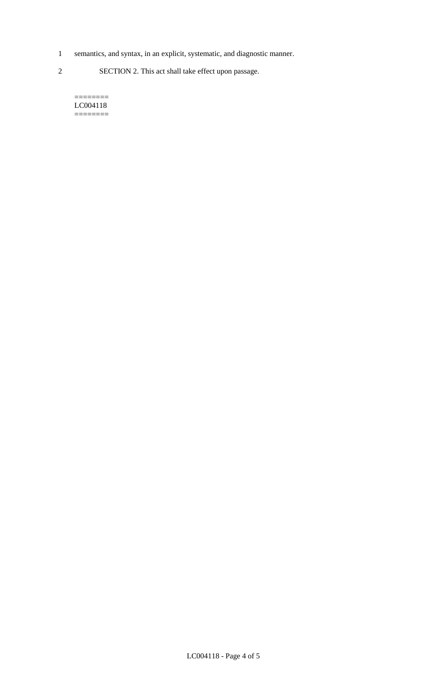- 1 semantics, and syntax, in an explicit, systematic, and diagnostic manner.
- 2 SECTION 2. This act shall take effect upon passage.

======== LC004118  $=$